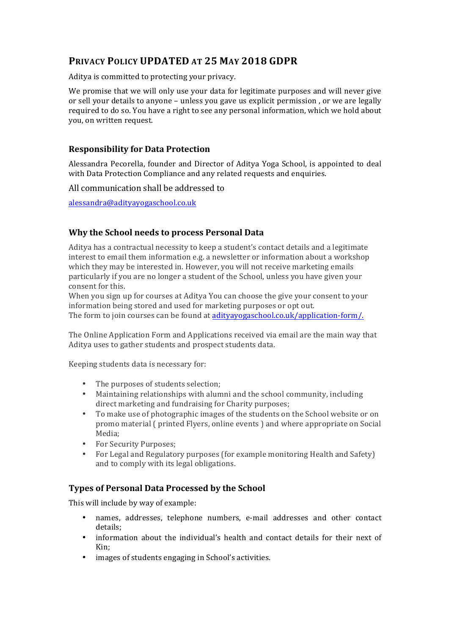# **PRIVACY POLICY UPDATED AT 25 MAY 2018 GDPR**

Aditya is committed to protecting your privacy.

We promise that we will only use your data for legitimate purposes and will never give or sell your details to anyone - unless you gave us explicit permission, or we are legally required to do so. You have a right to see any personal information, which we hold about you, on written request.

# **Responsibility for Data Protection**

Alessandra Pecorella, founder and Director of Aditya Yoga School, is appointed to deal with Data Protection Compliance and any related requests and enquiries.

All communication shall be addressed to

alessandra@adityayogaschool.co.uk

# **Why the School needs to process Personal Data**

Aditya has a contractual necessity to keep a student's contact details and a legitimate interest to email them information e.g. a newsletter or information about a workshop which they may be interested in. However, you will not receive marketing emails particularly if you are no longer a student of the School, unless you have given your consent for this.

When you sign up for courses at Aditya You can choose the give your consent to your information being stored and used for marketing purposes or opt out.

The form to join courses can be found at adityayogaschool.co.uk/application-form/.

The Online Application Form and Applications received via email are the main way that Aditya uses to gather students and prospect students data.

Keeping students data is necessary for:

- The purposes of students selection;
- Maintaining relationships with alumni and the school community, including direct marketing and fundraising for Charity purposes;
- To make use of photographic images of the students on the School website or on promo material ( printed Flyers, online events ) and where appropriate on Social Media;
- For Security Purposes;
- For Legal and Regulatory purposes (for example monitoring Health and Safety) and to comply with its legal obligations.

### **Types of Personal Data Processed by the School**

This will include by way of example:

- names, addresses, telephone numbers, e-mail addresses and other contact details;
- information about the individual's health and contact details for their next of Kin;
- images of students engaging in School's activities.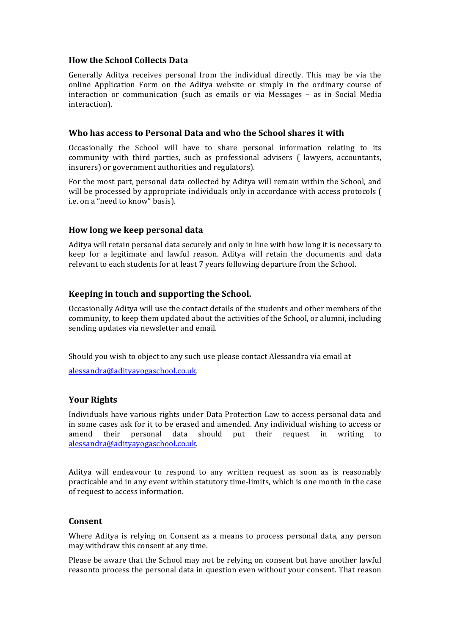### **How the School Collects Data**

Generally Aditya receives personal from the individual directly. This may be via the online Application Form on the Aditya website or simply in the ordinary course of interaction or communication (such as emails or via Messages - as in Social Media interaction).

## Who has access to Personal Data and who the School shares it with

Occasionally the School will have to share personal information relating to its community with third parties, such as professional advisers ( lawyers, accountants, insurers) or government authorities and regulators).

For the most part, personal data collected by Aditya will remain within the School, and will be processed by appropriate individuals only in accordance with access protocols ( i.e. on a "need to know" basis).

## **How long we keep personal data**

Aditya will retain personal data securely and only in line with how long it is necessary to keep for a legitimate and lawful reason. Aditya will retain the documents and data relevant to each students for at least 7 years following departure from the School.

## **Keeping in touch and supporting the School.**

Occasionally Aditya will use the contact details of the students and other members of the community, to keep them updated about the activities of the School, or alumni, including sending updates via newsletter and email.

Should you wish to object to any such use please contact Alessandra via email at

alessandra@adityayogaschool.co.uk.

# **Your Rights**

Individuals have various rights under Data Protection Law to access personal data and in some cases ask for it to be erased and amended. Any individual wishing to access or amend their personal data should put their request in writing to alessandra@adityayogaschool.co.uk.

Aditya will endeavour to respond to any written request as soon as is reasonably practicable and in any event within statutory time-limits, which is one month in the case of request to access information.

### **Consent**

Where Aditya is relying on Consent as a means to process personal data, any person may withdraw this consent at any time.

Please be aware that the School may not be relying on consent but have another lawful reasonto process the personal data in question even without your consent. That reason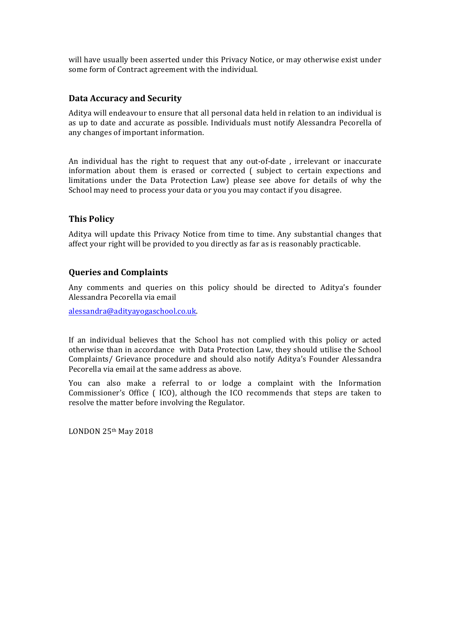will have usually been asserted under this Privacy Notice, or may otherwise exist under some form of Contract agreement with the individual.

#### **Data Accuracy and Security**

Aditya will endeavour to ensure that all personal data held in relation to an individual is as up to date and accurate as possible. Individuals must notify Alessandra Pecorella of any changes of important information.

An individual has the right to request that any out-of-date, irrelevant or inaccurate information about them is erased or corrected ( subject to certain expections and limitations under the Data Protection Law) please see above for details of why the School may need to process your data or you you may contact if you disagree.

## **This Policy**

Aditya will update this Privacy Notice from time to time. Any substantial changes that affect your right will be provided to you directly as far as is reasonably practicable.

#### **Queries and Complaints**

Any comments and queries on this policy should be directed to Aditya's founder Alessandra Pecorella via email 

alessandra@adityayogaschool.co.uk.

If an individual believes that the School has not complied with this policy or acted otherwise than in accordance with Data Protection Law, they should utilise the School Complaints/ Grievance procedure and should also notify Aditya's Founder Alessandra Pecorella via email at the same address as above.

You can also make a referral to or lodge a complaint with the Information Commissioner's Office ( ICO), although the ICO recommends that steps are taken to resolve the matter before involving the Regulator.

LONDON 25th May 2018